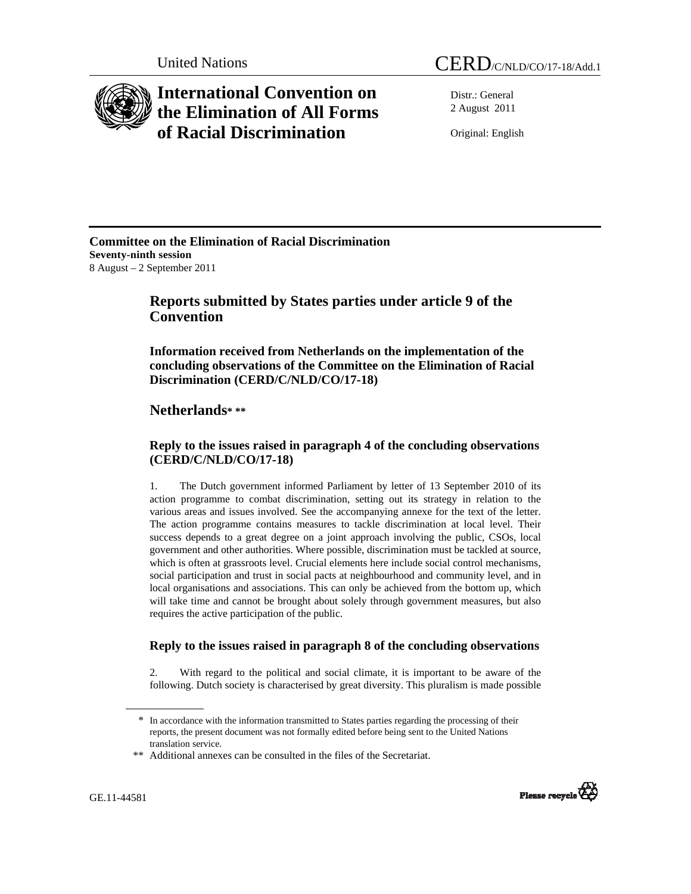



# **International Convention on the Elimination of All Forms of Racial Discrimination**

Distr.: General 2 August 2011

Original: English

### **Committee on the Elimination of Racial Discrimination Seventy-ninth session**  8 August – 2 September 2011

## **Reports submitted by States parties under article 9 of the Convention**

 **Information received from Netherlands on the implementation of the concluding observations of the Committee on the Elimination of Racial Discrimination (CERD/C/NLD/CO/17-18)** 

## **Netherlands\* \*\***

### **Reply to the issues raised in paragraph 4 of the concluding observations (CERD/C/NLD/CO/17-18)**

1. The Dutch government informed Parliament by letter of 13 September 2010 of its action programme to combat discrimination, setting out its strategy in relation to the various areas and issues involved. See the accompanying annexe for the text of the letter. The action programme contains measures to tackle discrimination at local level. Their success depends to a great degree on a joint approach involving the public, CSOs, local government and other authorities. Where possible, discrimination must be tackled at source, which is often at grassroots level. Crucial elements here include social control mechanisms, social participation and trust in social pacts at neighbourhood and community level, and in local organisations and associations. This can only be achieved from the bottom up, which will take time and cannot be brought about solely through government measures, but also requires the active participation of the public.

### **Reply to the issues raised in paragraph 8 of the concluding observations**

2. With regard to the political and social climate, it is important to be aware of the following. Dutch society is characterised by great diversity. This pluralism is made possible



<sup>\*</sup> In accordance with the information transmitted to States parties regarding the processing of their reports, the present document was not formally edited before being sent to the United Nations translation service.

<sup>\*\*</sup> Additional annexes can be consulted in the files of the Secretariat.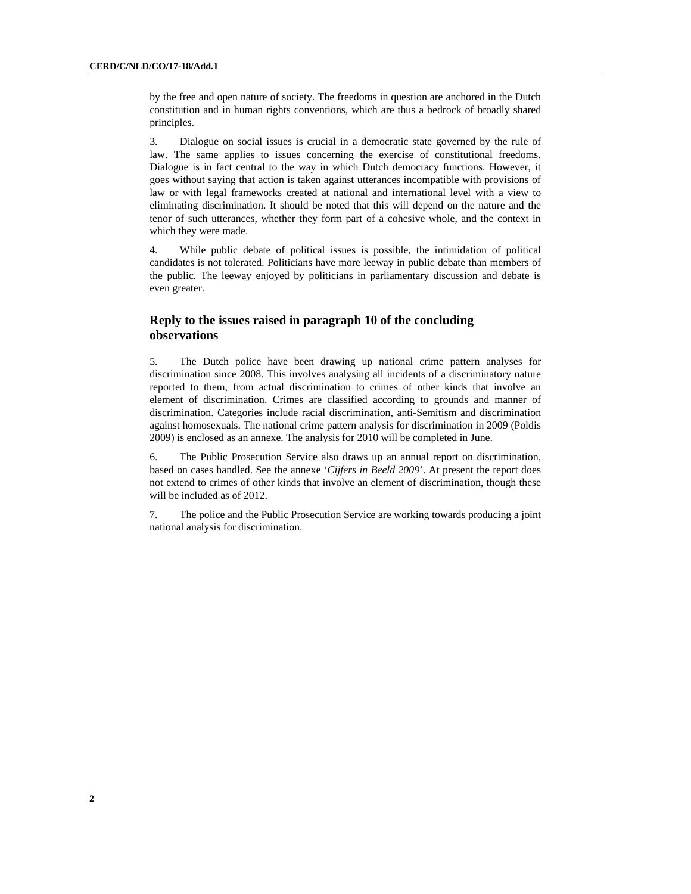by the free and open nature of society. The freedoms in question are anchored in the Dutch constitution and in human rights conventions, which are thus a bedrock of broadly shared principles.

3. Dialogue on social issues is crucial in a democratic state governed by the rule of law. The same applies to issues concerning the exercise of constitutional freedoms. Dialogue is in fact central to the way in which Dutch democracy functions. However, it goes without saying that action is taken against utterances incompatible with provisions of law or with legal frameworks created at national and international level with a view to eliminating discrimination. It should be noted that this will depend on the nature and the tenor of such utterances, whether they form part of a cohesive whole, and the context in which they were made.

4. While public debate of political issues is possible, the intimidation of political candidates is not tolerated. Politicians have more leeway in public debate than members of the public. The leeway enjoyed by politicians in parliamentary discussion and debate is even greater.

### **Reply to the issues raised in paragraph 10 of the concluding observations**

5. The Dutch police have been drawing up national crime pattern analyses for discrimination since 2008. This involves analysing all incidents of a discriminatory nature reported to them, from actual discrimination to crimes of other kinds that involve an element of discrimination. Crimes are classified according to grounds and manner of discrimination. Categories include racial discrimination, anti-Semitism and discrimination against homosexuals. The national crime pattern analysis for discrimination in 2009 (Poldis 2009) is enclosed as an annexe. The analysis for 2010 will be completed in June.

6. The Public Prosecution Service also draws up an annual report on discrimination, based on cases handled. See the annexe '*Cijfers in Beeld 2009*'. At present the report does not extend to crimes of other kinds that involve an element of discrimination, though these will be included as of 2012.

7. The police and the Public Prosecution Service are working towards producing a joint national analysis for discrimination.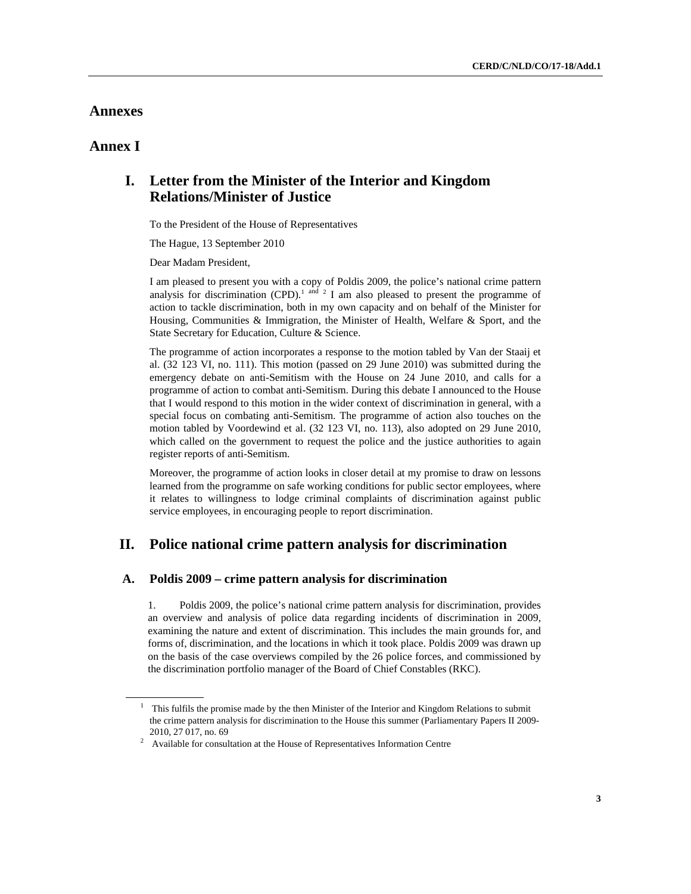### **Annexes**

### **Annex I**

## **I. Letter from the Minister of the Interior and Kingdom Relations/Minister of Justice**

To the President of the House of Representatives

The Hague, 13 September 2010

Dear Madam President,

I am pleased to present you with a copy of Poldis 2009, the police's national crime pattern analysis for discrimination (CPD).<sup>1 and 2</sup> I am also pleased to present the programme of action to tackle discrimination, both in my own capacity and on behalf of the Minister for Housing, Communities & Immigration, the Minister of Health, Welfare & Sport, and the State Secretary for Education, Culture & Science.

The programme of action incorporates a response to the motion tabled by Van der Staaij et al. (32 123 VI, no. 111). This motion (passed on 29 June 2010) was submitted during the emergency debate on anti-Semitism with the House on 24 June 2010, and calls for a programme of action to combat anti-Semitism. During this debate I announced to the House that I would respond to this motion in the wider context of discrimination in general, with a special focus on combating anti-Semitism. The programme of action also touches on the motion tabled by Voordewind et al. (32 123 VI, no. 113), also adopted on 29 June 2010, which called on the government to request the police and the justice authorities to again register reports of anti-Semitism.

Moreover, the programme of action looks in closer detail at my promise to draw on lessons learned from the programme on safe working conditions for public sector employees, where it relates to willingness to lodge criminal complaints of discrimination against public service employees, in encouraging people to report discrimination.

### **II. Police national crime pattern analysis for discrimination**

### **A. Poldis 2009 – crime pattern analysis for discrimination**

1. Poldis 2009, the police's national crime pattern analysis for discrimination, provides an overview and analysis of police data regarding incidents of discrimination in 2009, examining the nature and extent of discrimination. This includes the main grounds for, and forms of, discrimination, and the locations in which it took place. Poldis 2009 was drawn up on the basis of the case overviews compiled by the 26 police forces, and commissioned by the discrimination portfolio manager of the Board of Chief Constables (RKC).

<sup>&</sup>lt;sup>1</sup> This fulfils the promise made by the then Minister of the Interior and Kingdom Relations to submit the crime pattern analysis for discrimination to the House this summer (Parliamentary Papers II 2009- 2010, 27 017, no. 69<br><sup>2</sup> Available for consultation at the House of Representatives Information Centre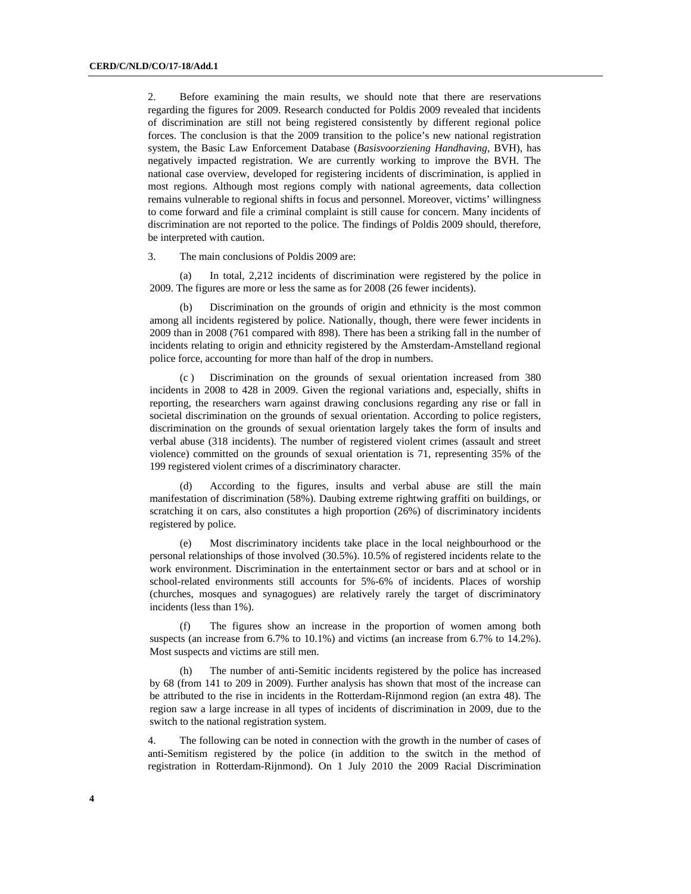2. Before examining the main results, we should note that there are reservations regarding the figures for 2009. Research conducted for Poldis 2009 revealed that incidents of discrimination are still not being registered consistently by different regional police forces. The conclusion is that the 2009 transition to the police's new national registration system, the Basic Law Enforcement Database (*Basisvoorziening Handhaving*, BVH), has negatively impacted registration. We are currently working to improve the BVH. The national case overview, developed for registering incidents of discrimination, is applied in most regions. Although most regions comply with national agreements, data collection remains vulnerable to regional shifts in focus and personnel. Moreover, victims' willingness to come forward and file a criminal complaint is still cause for concern. Many incidents of discrimination are not reported to the police. The findings of Poldis 2009 should, therefore, be interpreted with caution.

3. The main conclusions of Poldis 2009 are:

 (a) In total, 2,212 incidents of discrimination were registered by the police in 2009. The figures are more or less the same as for 2008 (26 fewer incidents).

Discrimination on the grounds of origin and ethnicity is the most common among all incidents registered by police. Nationally, though, there were fewer incidents in 2009 than in 2008 (761 compared with 898). There has been a striking fall in the number of incidents relating to origin and ethnicity registered by the Amsterdam-Amstelland regional police force, accounting for more than half of the drop in numbers.

 (c ) Discrimination on the grounds of sexual orientation increased from 380 incidents in 2008 to 428 in 2009. Given the regional variations and, especially, shifts in reporting, the researchers warn against drawing conclusions regarding any rise or fall in societal discrimination on the grounds of sexual orientation. According to police registers, discrimination on the grounds of sexual orientation largely takes the form of insults and verbal abuse (318 incidents). The number of registered violent crimes (assault and street violence) committed on the grounds of sexual orientation is 71, representing 35% of the 199 registered violent crimes of a discriminatory character.

 (d) According to the figures, insults and verbal abuse are still the main manifestation of discrimination (58%). Daubing extreme rightwing graffiti on buildings, or scratching it on cars, also constitutes a high proportion (26%) of discriminatory incidents registered by police.

 (e) Most discriminatory incidents take place in the local neighbourhood or the personal relationships of those involved (30.5%). 10.5% of registered incidents relate to the work environment. Discrimination in the entertainment sector or bars and at school or in school-related environments still accounts for 5%-6% of incidents. Places of worship (churches, mosques and synagogues) are relatively rarely the target of discriminatory incidents (less than 1%).

 (f) The figures show an increase in the proportion of women among both suspects (an increase from 6.7% to 10.1%) and victims (an increase from 6.7% to 14.2%). Most suspects and victims are still men.

 (h) The number of anti-Semitic incidents registered by the police has increased by 68 (from 141 to 209 in 2009). Further analysis has shown that most of the increase can be attributed to the rise in incidents in the Rotterdam-Rijnmond region (an extra 48). The region saw a large increase in all types of incidents of discrimination in 2009, due to the switch to the national registration system.

4. The following can be noted in connection with the growth in the number of cases of anti-Semitism registered by the police (in addition to the switch in the method of registration in Rotterdam-Rijnmond). On 1 July 2010 the 2009 Racial Discrimination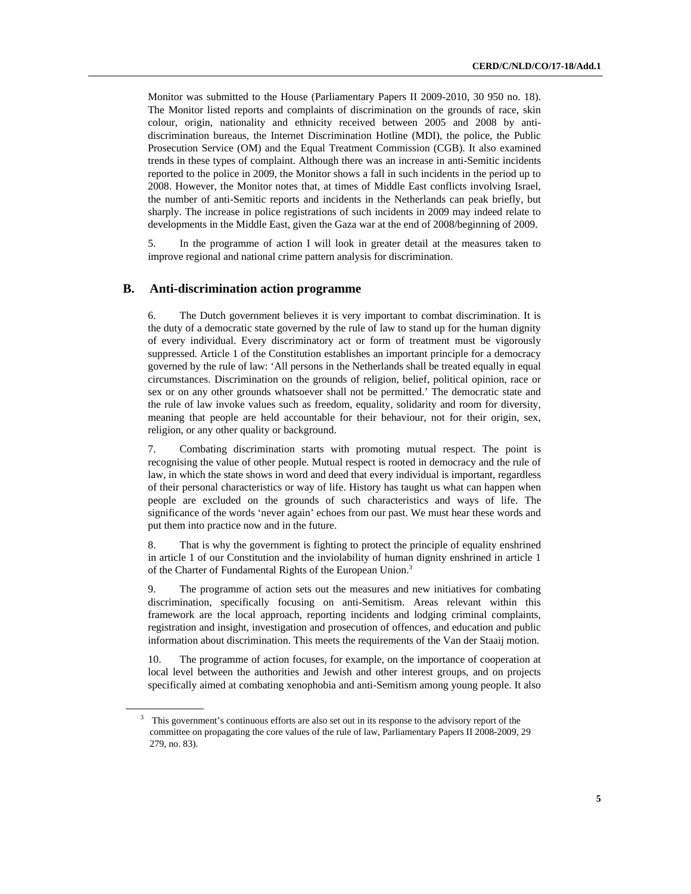Monitor was submitted to the House (Parliamentary Papers II 2009-2010, 30 950 no. 18). The Monitor listed reports and complaints of discrimination on the grounds of race, skin colour, origin, nationality and ethnicity received between 2005 and 2008 by antidiscrimination bureaus, the Internet Discrimination Hotline (MDI), the police, the Public Prosecution Service (OM) and the Equal Treatment Commission (CGB). It also examined trends in these types of complaint. Although there was an increase in anti-Semitic incidents reported to the police in 2009, the Monitor shows a fall in such incidents in the period up to 2008. However, the Monitor notes that, at times of Middle East conflicts involving Israel, the number of anti-Semitic reports and incidents in the Netherlands can peak briefly, but sharply. The increase in police registrations of such incidents in 2009 may indeed relate to developments in the Middle East, given the Gaza war at the end of 2008/beginning of 2009.

5. In the programme of action I will look in greater detail at the measures taken to improve regional and national crime pattern analysis for discrimination.

#### **B. Anti-discrimination action programme**

6. The Dutch government believes it is very important to combat discrimination. It is the duty of a democratic state governed by the rule of law to stand up for the human dignity of every individual. Every discriminatory act or form of treatment must be vigorously suppressed. Article 1 of the Constitution establishes an important principle for a democracy governed by the rule of law: 'All persons in the Netherlands shall be treated equally in equal circumstances. Discrimination on the grounds of religion, belief, political opinion, race or sex or on any other grounds whatsoever shall not be permitted.' The democratic state and the rule of law invoke values such as freedom, equality, solidarity and room for diversity, meaning that people are held accountable for their behaviour, not for their origin, sex, religion, or any other quality or background.

7. Combating discrimination starts with promoting mutual respect. The point is recognising the value of other people. Mutual respect is rooted in democracy and the rule of law, in which the state shows in word and deed that every individual is important, regardless of their personal characteristics or way of life. History has taught us what can happen when people are excluded on the grounds of such characteristics and ways of life. The significance of the words 'never again' echoes from our past. We must hear these words and put them into practice now and in the future.

8. That is why the government is fighting to protect the principle of equality enshrined in article 1 of our Constitution and the inviolability of human dignity enshrined in article 1 of the Charter of Fundamental Rights of the European Union.<sup>3</sup>

9. The programme of action sets out the measures and new initiatives for combating discrimination, specifically focusing on anti-Semitism. Areas relevant within this framework are the local approach, reporting incidents and lodging criminal complaints, registration and insight, investigation and prosecution of offences, and education and public information about discrimination. This meets the requirements of the Van der Staaij motion.

10. The programme of action focuses, for example, on the importance of cooperation at local level between the authorities and Jewish and other interest groups, and on projects specifically aimed at combating xenophobia and anti-Semitism among young people. It also

<sup>&</sup>lt;sup>3</sup> This government's continuous efforts are also set out in its response to the advisory report of the committee on propagating the core values of the rule of law, Parliamentary Papers II 2008-2009, 29 279, no. 83).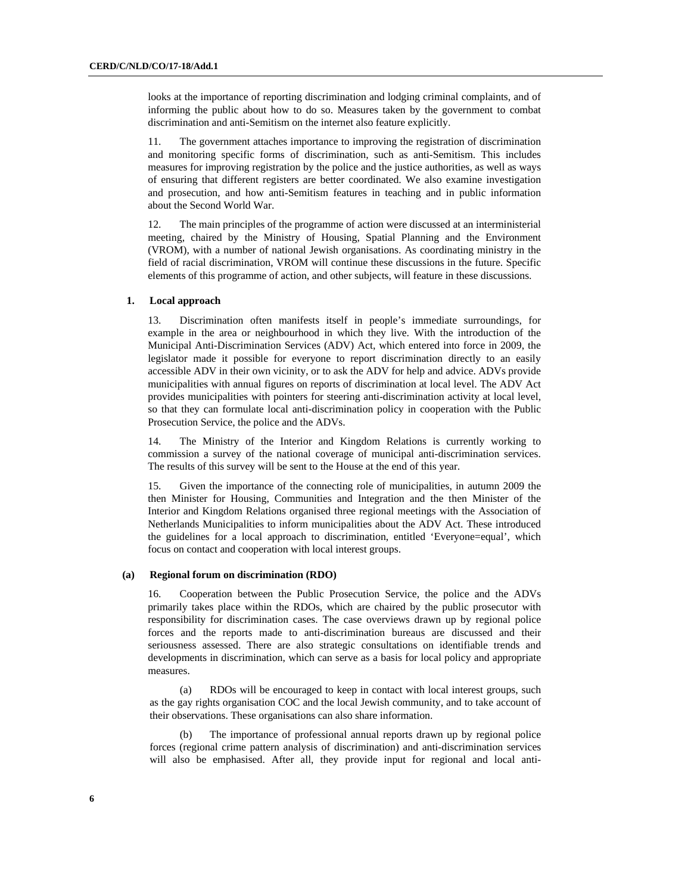looks at the importance of reporting discrimination and lodging criminal complaints, and of informing the public about how to do so. Measures taken by the government to combat discrimination and anti-Semitism on the internet also feature explicitly.

11. The government attaches importance to improving the registration of discrimination and monitoring specific forms of discrimination, such as anti-Semitism. This includes measures for improving registration by the police and the justice authorities, as well as ways of ensuring that different registers are better coordinated. We also examine investigation and prosecution, and how anti-Semitism features in teaching and in public information about the Second World War.

12. The main principles of the programme of action were discussed at an interministerial meeting, chaired by the Ministry of Housing, Spatial Planning and the Environment (VROM), with a number of national Jewish organisations. As coordinating ministry in the field of racial discrimination, VROM will continue these discussions in the future. Specific elements of this programme of action, and other subjects, will feature in these discussions.

### **1. Local approach**

13. Discrimination often manifests itself in people's immediate surroundings, for example in the area or neighbourhood in which they live. With the introduction of the Municipal Anti-Discrimination Services (ADV) Act, which entered into force in 2009, the legislator made it possible for everyone to report discrimination directly to an easily accessible ADV in their own vicinity, or to ask the ADV for help and advice. ADVs provide municipalities with annual figures on reports of discrimination at local level. The ADV Act provides municipalities with pointers for steering anti-discrimination activity at local level, so that they can formulate local anti-discrimination policy in cooperation with the Public Prosecution Service, the police and the ADVs.

14. The Ministry of the Interior and Kingdom Relations is currently working to commission a survey of the national coverage of municipal anti-discrimination services. The results of this survey will be sent to the House at the end of this year.

15. Given the importance of the connecting role of municipalities, in autumn 2009 the then Minister for Housing, Communities and Integration and the then Minister of the Interior and Kingdom Relations organised three regional meetings with the Association of Netherlands Municipalities to inform municipalities about the ADV Act. These introduced the guidelines for a local approach to discrimination, entitled 'Everyone=equal', which focus on contact and cooperation with local interest groups.

#### **(a) Regional forum on discrimination (RDO)**

16. Cooperation between the Public Prosecution Service, the police and the ADVs primarily takes place within the RDOs, which are chaired by the public prosecutor with responsibility for discrimination cases. The case overviews drawn up by regional police forces and the reports made to anti-discrimination bureaus are discussed and their seriousness assessed. There are also strategic consultations on identifiable trends and developments in discrimination, which can serve as a basis for local policy and appropriate measures.

 (a) RDOs will be encouraged to keep in contact with local interest groups, such as the gay rights organisation COC and the local Jewish community, and to take account of their observations. These organisations can also share information.

 (b) The importance of professional annual reports drawn up by regional police forces (regional crime pattern analysis of discrimination) and anti-discrimination services will also be emphasised. After all, they provide input for regional and local anti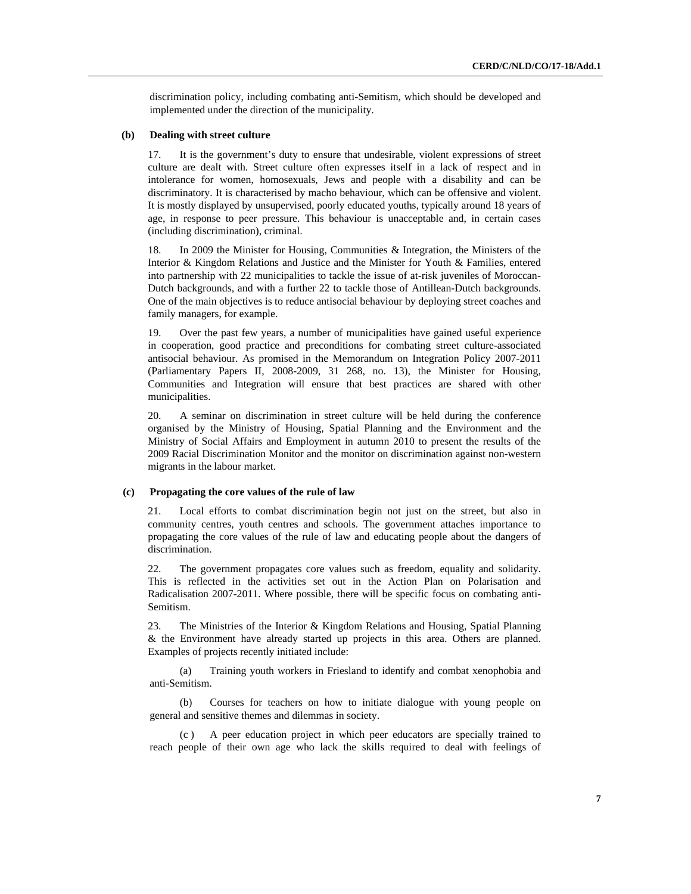discrimination policy, including combating anti-Semitism, which should be developed and implemented under the direction of the municipality.

### **(b) Dealing with street culture**

17. It is the government's duty to ensure that undesirable, violent expressions of street culture are dealt with. Street culture often expresses itself in a lack of respect and in intolerance for women, homosexuals, Jews and people with a disability and can be discriminatory. It is characterised by macho behaviour, which can be offensive and violent. It is mostly displayed by unsupervised, poorly educated youths, typically around 18 years of age, in response to peer pressure. This behaviour is unacceptable and, in certain cases (including discrimination), criminal.

In 2009 the Minister for Housing, Communities  $\&$  Integration, the Ministers of the Interior & Kingdom Relations and Justice and the Minister for Youth & Families, entered into partnership with 22 municipalities to tackle the issue of at-risk juveniles of Moroccan-Dutch backgrounds, and with a further 22 to tackle those of Antillean-Dutch backgrounds. One of the main objectives is to reduce antisocial behaviour by deploying street coaches and family managers, for example.

19. Over the past few years, a number of municipalities have gained useful experience in cooperation, good practice and preconditions for combating street culture-associated antisocial behaviour. As promised in the Memorandum on Integration Policy 2007-2011 (Parliamentary Papers II, 2008-2009, 31 268, no. 13), the Minister for Housing, Communities and Integration will ensure that best practices are shared with other municipalities.

20. A seminar on discrimination in street culture will be held during the conference organised by the Ministry of Housing, Spatial Planning and the Environment and the Ministry of Social Affairs and Employment in autumn 2010 to present the results of the 2009 Racial Discrimination Monitor and the monitor on discrimination against non-western migrants in the labour market.

#### **(c) Propagating the core values of the rule of law**

21. Local efforts to combat discrimination begin not just on the street, but also in community centres, youth centres and schools. The government attaches importance to propagating the core values of the rule of law and educating people about the dangers of discrimination.

22. The government propagates core values such as freedom, equality and solidarity. This is reflected in the activities set out in the Action Plan on Polarisation and Radicalisation 2007-2011. Where possible, there will be specific focus on combating anti-Semitism.

23. The Ministries of the Interior & Kingdom Relations and Housing, Spatial Planning & the Environment have already started up projects in this area. Others are planned. Examples of projects recently initiated include:

 (a) Training youth workers in Friesland to identify and combat xenophobia and anti-Semitism.

 (b) Courses for teachers on how to initiate dialogue with young people on general and sensitive themes and dilemmas in society.

A peer education project in which peer educators are specially trained to reach people of their own age who lack the skills required to deal with feelings of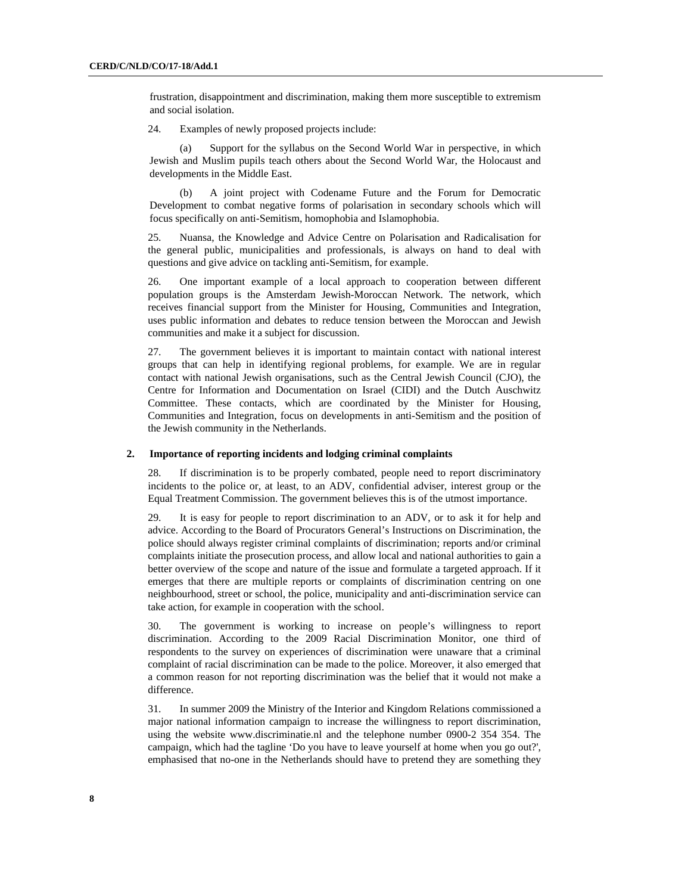frustration, disappointment and discrimination, making them more susceptible to extremism and social isolation.

24. Examples of newly proposed projects include:

 (a) Support for the syllabus on the Second World War in perspective, in which Jewish and Muslim pupils teach others about the Second World War, the Holocaust and developments in the Middle East.

 (b) A joint project with Codename Future and the Forum for Democratic Development to combat negative forms of polarisation in secondary schools which will focus specifically on anti-Semitism, homophobia and Islamophobia.

25. Nuansa, the Knowledge and Advice Centre on Polarisation and Radicalisation for the general public, municipalities and professionals, is always on hand to deal with questions and give advice on tackling anti-Semitism, for example.

26. One important example of a local approach to cooperation between different population groups is the Amsterdam Jewish-Moroccan Network. The network, which receives financial support from the Minister for Housing, Communities and Integration, uses public information and debates to reduce tension between the Moroccan and Jewish communities and make it a subject for discussion.

27. The government believes it is important to maintain contact with national interest groups that can help in identifying regional problems, for example. We are in regular contact with national Jewish organisations, such as the Central Jewish Council (CJO), the Centre for Information and Documentation on Israel (CIDI) and the Dutch Auschwitz Committee. These contacts, which are coordinated by the Minister for Housing, Communities and Integration, focus on developments in anti-Semitism and the position of the Jewish community in the Netherlands.

### **2. Importance of reporting incidents and lodging criminal complaints**

28. If discrimination is to be properly combated, people need to report discriminatory incidents to the police or, at least, to an ADV, confidential adviser, interest group or the Equal Treatment Commission. The government believes this is of the utmost importance.

29. It is easy for people to report discrimination to an ADV, or to ask it for help and advice. According to the Board of Procurators General's Instructions on Discrimination, the police should always register criminal complaints of discrimination; reports and/or criminal complaints initiate the prosecution process, and allow local and national authorities to gain a better overview of the scope and nature of the issue and formulate a targeted approach. If it emerges that there are multiple reports or complaints of discrimination centring on one neighbourhood, street or school, the police, municipality and anti-discrimination service can take action, for example in cooperation with the school.

30. The government is working to increase on people's willingness to report discrimination. According to the 2009 Racial Discrimination Monitor, one third of respondents to the survey on experiences of discrimination were unaware that a criminal complaint of racial discrimination can be made to the police. Moreover, it also emerged that a common reason for not reporting discrimination was the belief that it would not make a difference.

31. In summer 2009 the Ministry of the Interior and Kingdom Relations commissioned a major national information campaign to increase the willingness to report discrimination, using the website www.discriminatie.nl and the telephone number 0900-2 354 354. The campaign, which had the tagline 'Do you have to leave yourself at home when you go out?', emphasised that no-one in the Netherlands should have to pretend they are something they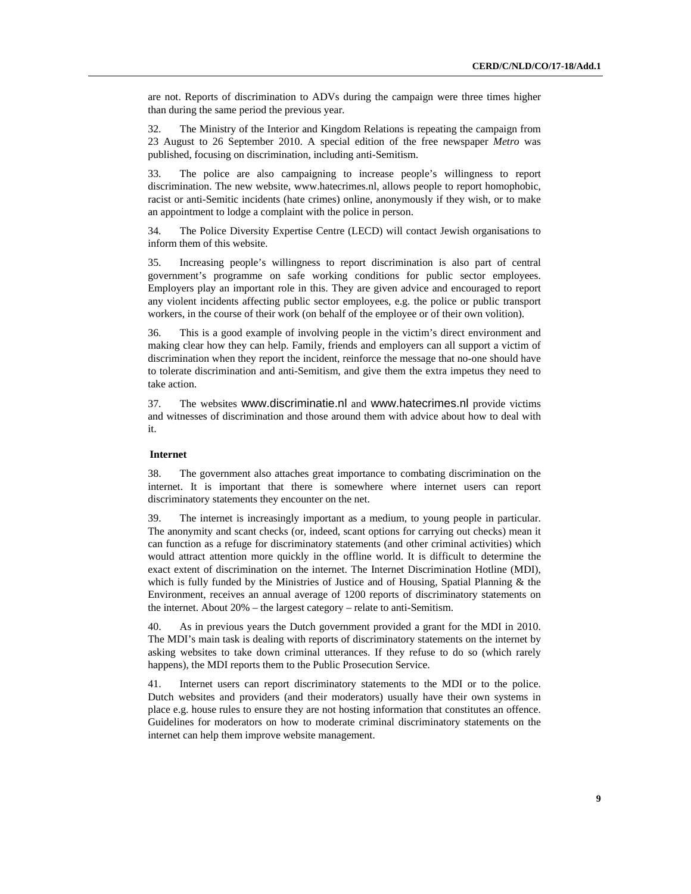are not. Reports of discrimination to ADVs during the campaign were three times higher than during the same period the previous year.

32. The Ministry of the Interior and Kingdom Relations is repeating the campaign from 23 August to 26 September 2010. A special edition of the free newspaper *Metro* was published, focusing on discrimination, including anti-Semitism.

33. The police are also campaigning to increase people's willingness to report discrimination. The new website, www.hatecrimes.nl, allows people to report homophobic, racist or anti-Semitic incidents (hate crimes) online, anonymously if they wish, or to make an appointment to lodge a complaint with the police in person.

34. The Police Diversity Expertise Centre (LECD) will contact Jewish organisations to inform them of this website.

35. Increasing people's willingness to report discrimination is also part of central government's programme on safe working conditions for public sector employees. Employers play an important role in this. They are given advice and encouraged to report any violent incidents affecting public sector employees, e.g. the police or public transport workers, in the course of their work (on behalf of the employee or of their own volition).

36. This is a good example of involving people in the victim's direct environment and making clear how they can help. Family, friends and employers can all support a victim of discrimination when they report the incident, reinforce the message that no-one should have to tolerate discrimination and anti-Semitism, and give them the extra impetus they need to take action.

37. The websites www.discriminatie.nl and www.hatecrimes.nl provide victims and witnesses of discrimination and those around them with advice about how to deal with it.

### **Internet**

38. The government also attaches great importance to combating discrimination on the internet. It is important that there is somewhere where internet users can report discriminatory statements they encounter on the net.

39. The internet is increasingly important as a medium, to young people in particular. The anonymity and scant checks (or, indeed, scant options for carrying out checks) mean it can function as a refuge for discriminatory statements (and other criminal activities) which would attract attention more quickly in the offline world. It is difficult to determine the exact extent of discrimination on the internet. The Internet Discrimination Hotline (MDI), which is fully funded by the Ministries of Justice and of Housing, Spatial Planning & the Environment, receives an annual average of 1200 reports of discriminatory statements on the internet. About 20% – the largest category – relate to anti-Semitism.

40. As in previous years the Dutch government provided a grant for the MDI in 2010. The MDI's main task is dealing with reports of discriminatory statements on the internet by asking websites to take down criminal utterances. If they refuse to do so (which rarely happens), the MDI reports them to the Public Prosecution Service.

41. Internet users can report discriminatory statements to the MDI or to the police. Dutch websites and providers (and their moderators) usually have their own systems in place e.g. house rules to ensure they are not hosting information that constitutes an offence. Guidelines for moderators on how to moderate criminal discriminatory statements on the internet can help them improve website management.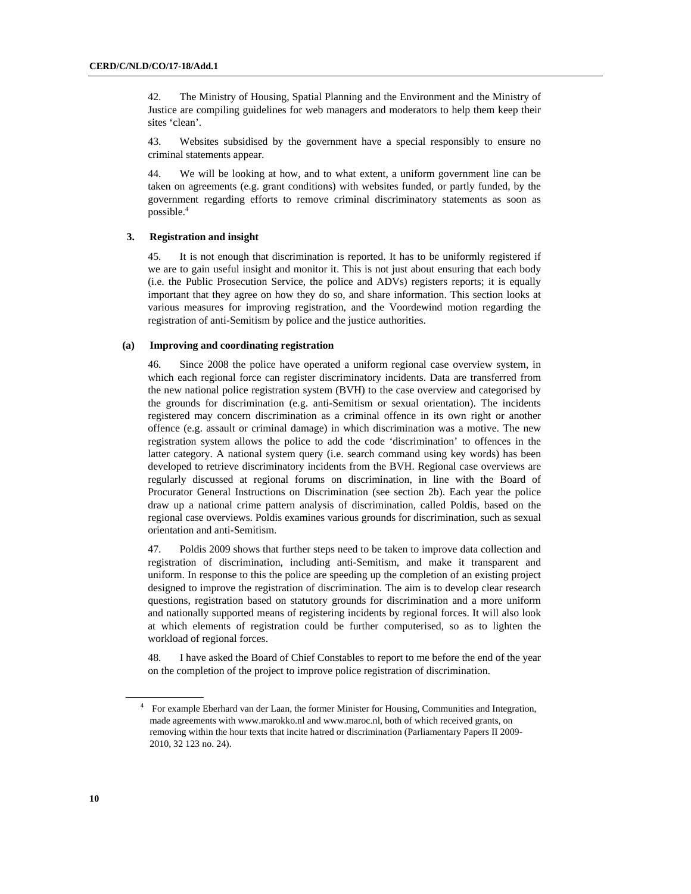42. The Ministry of Housing, Spatial Planning and the Environment and the Ministry of Justice are compiling guidelines for web managers and moderators to help them keep their sites 'clean'.

43. Websites subsidised by the government have a special responsibly to ensure no criminal statements appear.

44. We will be looking at how, and to what extent, a uniform government line can be taken on agreements (e.g. grant conditions) with websites funded, or partly funded, by the government regarding efforts to remove criminal discriminatory statements as soon as possible.4

### **3. Registration and insight**

45. It is not enough that discrimination is reported. It has to be uniformly registered if we are to gain useful insight and monitor it. This is not just about ensuring that each body (i.e. the Public Prosecution Service, the police and ADVs) registers reports; it is equally important that they agree on how they do so, and share information. This section looks at various measures for improving registration, and the Voordewind motion regarding the registration of anti-Semitism by police and the justice authorities.

#### **(a) Improving and coordinating registration**

46. Since 2008 the police have operated a uniform regional case overview system, in which each regional force can register discriminatory incidents. Data are transferred from the new national police registration system (BVH) to the case overview and categorised by the grounds for discrimination (e.g. anti-Semitism or sexual orientation). The incidents registered may concern discrimination as a criminal offence in its own right or another offence (e.g. assault or criminal damage) in which discrimination was a motive. The new registration system allows the police to add the code 'discrimination' to offences in the latter category. A national system query (i.e. search command using key words) has been developed to retrieve discriminatory incidents from the BVH. Regional case overviews are regularly discussed at regional forums on discrimination, in line with the Board of Procurator General Instructions on Discrimination (see section 2b). Each year the police draw up a national crime pattern analysis of discrimination, called Poldis, based on the regional case overviews. Poldis examines various grounds for discrimination, such as sexual orientation and anti-Semitism.

47. Poldis 2009 shows that further steps need to be taken to improve data collection and registration of discrimination, including anti-Semitism, and make it transparent and uniform. In response to this the police are speeding up the completion of an existing project designed to improve the registration of discrimination. The aim is to develop clear research questions, registration based on statutory grounds for discrimination and a more uniform and nationally supported means of registering incidents by regional forces. It will also look at which elements of registration could be further computerised, so as to lighten the workload of regional forces.

48. I have asked the Board of Chief Constables to report to me before the end of the year on the completion of the project to improve police registration of discrimination.

<sup>&</sup>lt;sup>4</sup> For example Eberhard van der Laan, the former Minister for Housing, Communities and Integration, made agreements with www.marokko.nl and www.maroc.nl, both of which received grants, on removing within the hour texts that incite hatred or discrimination (Parliamentary Papers II 2009- 2010, 32 123 no. 24).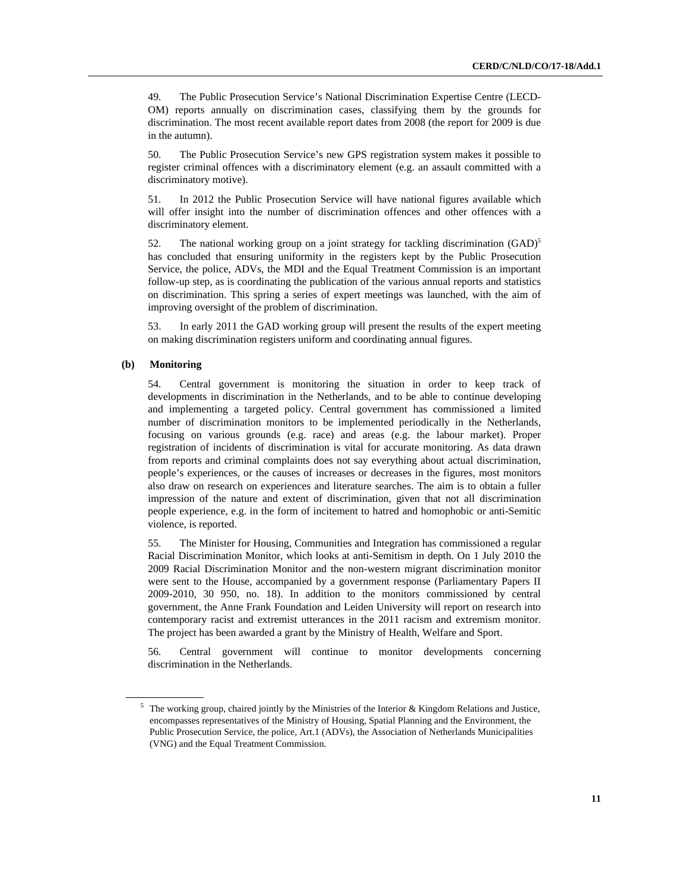49. The Public Prosecution Service's National Discrimination Expertise Centre (LECD-OM) reports annually on discrimination cases, classifying them by the grounds for discrimination. The most recent available report dates from 2008 (the report for 2009 is due in the autumn).

50. The Public Prosecution Service's new GPS registration system makes it possible to register criminal offences with a discriminatory element (e.g. an assault committed with a discriminatory motive).

51. In 2012 the Public Prosecution Service will have national figures available which will offer insight into the number of discrimination offences and other offences with a discriminatory element.

52. The national working group on a joint strategy for tackling discrimination  $(GAD)^5$ has concluded that ensuring uniformity in the registers kept by the Public Prosecution Service, the police, ADVs, the MDI and the Equal Treatment Commission is an important follow-up step, as is coordinating the publication of the various annual reports and statistics on discrimination. This spring a series of expert meetings was launched, with the aim of improving oversight of the problem of discrimination.

53. In early 2011 the GAD working group will present the results of the expert meeting on making discrimination registers uniform and coordinating annual figures.

### **(b) Monitoring**

54. Central government is monitoring the situation in order to keep track of developments in discrimination in the Netherlands, and to be able to continue developing and implementing a targeted policy. Central government has commissioned a limited number of discrimination monitors to be implemented periodically in the Netherlands, focusing on various grounds (e.g. race) and areas (e.g. the labour market). Proper registration of incidents of discrimination is vital for accurate monitoring. As data drawn from reports and criminal complaints does not say everything about actual discrimination, people's experiences, or the causes of increases or decreases in the figures, most monitors also draw on research on experiences and literature searches. The aim is to obtain a fuller impression of the nature and extent of discrimination, given that not all discrimination people experience, e.g. in the form of incitement to hatred and homophobic or anti-Semitic violence, is reported.

55. The Minister for Housing, Communities and Integration has commissioned a regular Racial Discrimination Monitor, which looks at anti-Semitism in depth. On 1 July 2010 the 2009 Racial Discrimination Monitor and the non-western migrant discrimination monitor were sent to the House, accompanied by a government response (Parliamentary Papers II 2009-2010, 30 950, no. 18). In addition to the monitors commissioned by central government, the Anne Frank Foundation and Leiden University will report on research into contemporary racist and extremist utterances in the 2011 racism and extremism monitor. The project has been awarded a grant by the Ministry of Health, Welfare and Sport.

56. Central government will continue to monitor developments concerning discrimination in the Netherlands.

<sup>&</sup>lt;sup>5</sup> The working group, chaired jointly by the Ministries of the Interior & Kingdom Relations and Justice, encompasses representatives of the Ministry of Housing, Spatial Planning and the Environment, the Public Prosecution Service, the police, Art.1 (ADVs), the Association of Netherlands Municipalities (VNG) and the Equal Treatment Commission.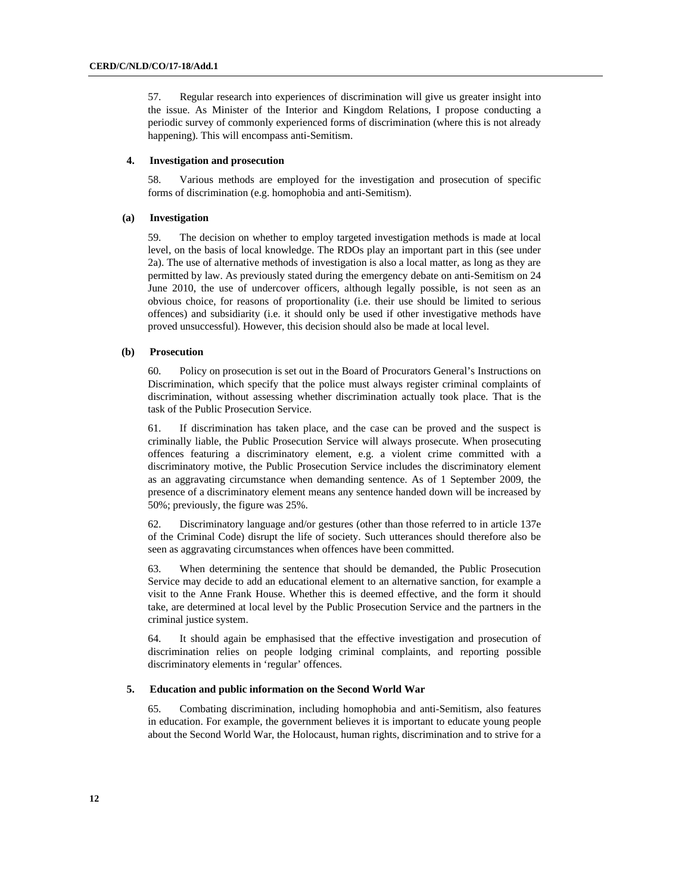57. Regular research into experiences of discrimination will give us greater insight into the issue. As Minister of the Interior and Kingdom Relations, I propose conducting a periodic survey of commonly experienced forms of discrimination (where this is not already happening). This will encompass anti-Semitism.

#### **4. Investigation and prosecution**

58. Various methods are employed for the investigation and prosecution of specific forms of discrimination (e.g. homophobia and anti-Semitism).

### **(a) Investigation**

59. The decision on whether to employ targeted investigation methods is made at local level, on the basis of local knowledge. The RDOs play an important part in this (see under 2a). The use of alternative methods of investigation is also a local matter, as long as they are permitted by law. As previously stated during the emergency debate on anti-Semitism on 24 June 2010, the use of undercover officers, although legally possible, is not seen as an obvious choice, for reasons of proportionality (i.e. their use should be limited to serious offences) and subsidiarity (i.e. it should only be used if other investigative methods have proved unsuccessful). However, this decision should also be made at local level.

### **(b) Prosecution**

60. Policy on prosecution is set out in the Board of Procurators General's Instructions on Discrimination, which specify that the police must always register criminal complaints of discrimination, without assessing whether discrimination actually took place. That is the task of the Public Prosecution Service.

61. If discrimination has taken place, and the case can be proved and the suspect is criminally liable, the Public Prosecution Service will always prosecute. When prosecuting offences featuring a discriminatory element, e.g. a violent crime committed with a discriminatory motive, the Public Prosecution Service includes the discriminatory element as an aggravating circumstance when demanding sentence. As of 1 September 2009, the presence of a discriminatory element means any sentence handed down will be increased by 50%; previously, the figure was 25%.

62. Discriminatory language and/or gestures (other than those referred to in article 137e of the Criminal Code) disrupt the life of society. Such utterances should therefore also be seen as aggravating circumstances when offences have been committed.

63. When determining the sentence that should be demanded, the Public Prosecution Service may decide to add an educational element to an alternative sanction, for example a visit to the Anne Frank House. Whether this is deemed effective, and the form it should take, are determined at local level by the Public Prosecution Service and the partners in the criminal justice system.

64. It should again be emphasised that the effective investigation and prosecution of discrimination relies on people lodging criminal complaints, and reporting possible discriminatory elements in 'regular' offences.

#### **5. Education and public information on the Second World War**

65. Combating discrimination, including homophobia and anti-Semitism, also features in education. For example, the government believes it is important to educate young people about the Second World War, the Holocaust, human rights, discrimination and to strive for a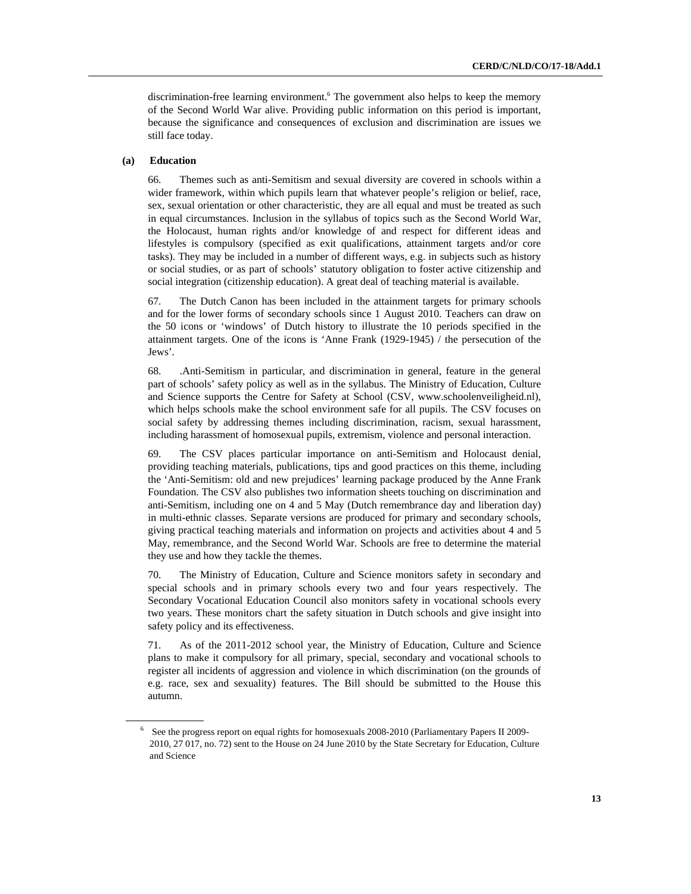discrimination-free learning environment.<sup>6</sup> The government also helps to keep the memory of the Second World War alive. Providing public information on this period is important, because the significance and consequences of exclusion and discrimination are issues we still face today.

#### **(a) Education**

66. Themes such as anti-Semitism and sexual diversity are covered in schools within a wider framework, within which pupils learn that whatever people's religion or belief, race, sex, sexual orientation or other characteristic, they are all equal and must be treated as such in equal circumstances. Inclusion in the syllabus of topics such as the Second World War, the Holocaust, human rights and/or knowledge of and respect for different ideas and lifestyles is compulsory (specified as exit qualifications, attainment targets and/or core tasks). They may be included in a number of different ways, e.g. in subjects such as history or social studies, or as part of schools' statutory obligation to foster active citizenship and social integration (citizenship education). A great deal of teaching material is available.

67. The Dutch Canon has been included in the attainment targets for primary schools and for the lower forms of secondary schools since 1 August 2010. Teachers can draw on the 50 icons or 'windows' of Dutch history to illustrate the 10 periods specified in the attainment targets. One of the icons is 'Anne Frank (1929-1945) / the persecution of the Jews'.

68. .Anti-Semitism in particular, and discrimination in general, feature in the general part of schools' safety policy as well as in the syllabus. The Ministry of Education, Culture and Science supports the Centre for Safety at School (CSV, www.schoolenveiligheid.nl), which helps schools make the school environment safe for all pupils. The CSV focuses on social safety by addressing themes including discrimination, racism, sexual harassment, including harassment of homosexual pupils, extremism, violence and personal interaction.

69. The CSV places particular importance on anti-Semitism and Holocaust denial, providing teaching materials, publications, tips and good practices on this theme, including the 'Anti-Semitism: old and new prejudices' learning package produced by the Anne Frank Foundation. The CSV also publishes two information sheets touching on discrimination and anti-Semitism, including one on 4 and 5 May (Dutch remembrance day and liberation day) in multi-ethnic classes. Separate versions are produced for primary and secondary schools, giving practical teaching materials and information on projects and activities about 4 and 5 May, remembrance, and the Second World War. Schools are free to determine the material they use and how they tackle the themes.

70. The Ministry of Education, Culture and Science monitors safety in secondary and special schools and in primary schools every two and four years respectively. The Secondary Vocational Education Council also monitors safety in vocational schools every two years. These monitors chart the safety situation in Dutch schools and give insight into safety policy and its effectiveness.

71. As of the 2011-2012 school year, the Ministry of Education, Culture and Science plans to make it compulsory for all primary, special, secondary and vocational schools to register all incidents of aggression and violence in which discrimination (on the grounds of e.g. race, sex and sexuality) features. The Bill should be submitted to the House this autumn.

<sup>&</sup>lt;sup>6</sup> See the progress report on equal rights for homosexuals 2008-2010 (Parliamentary Papers II 2009-2010, 27 017, no. 72) sent to the House on 24 June 2010 by the State Secretary for Education, Culture and Science